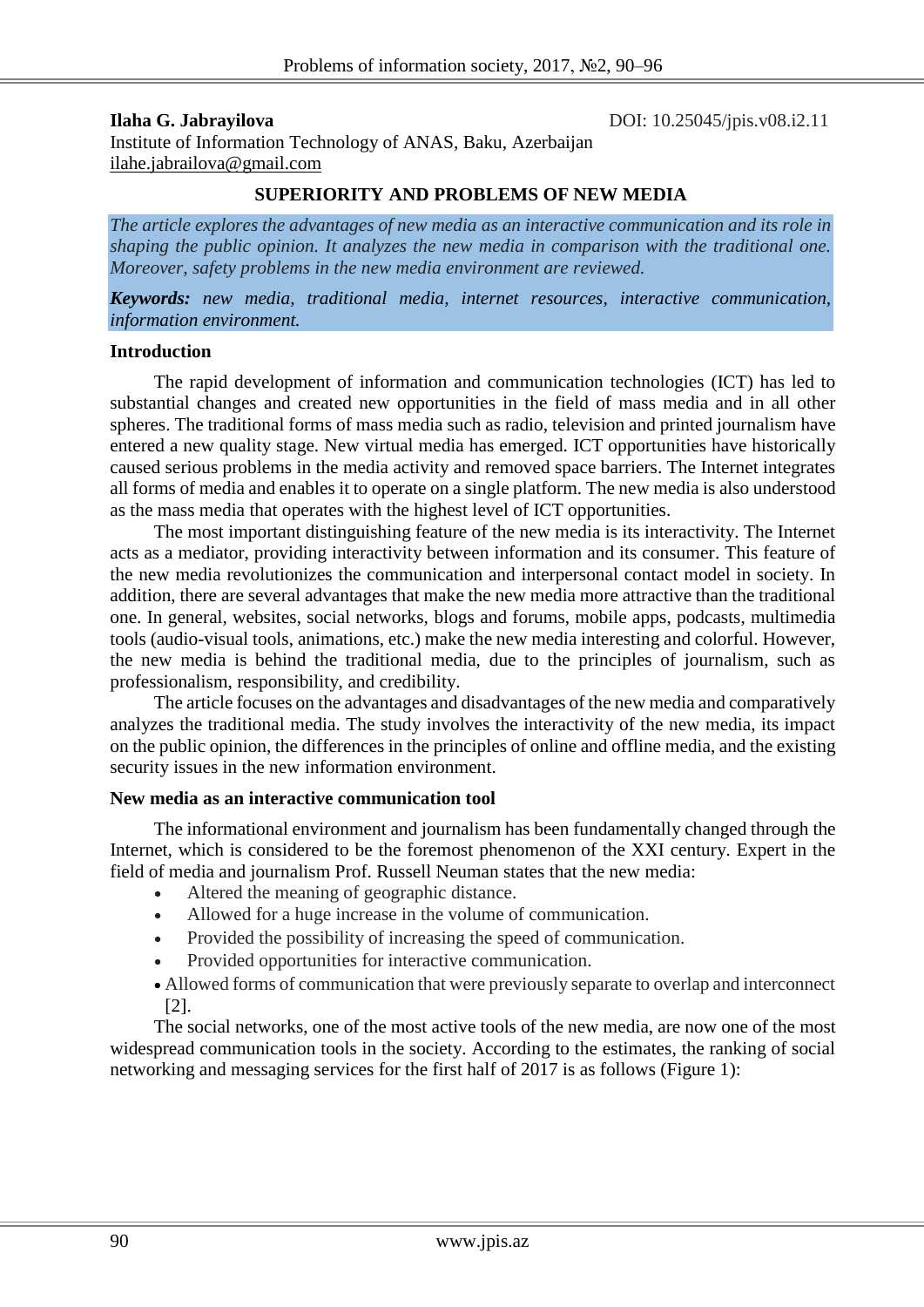**Ilaha G. Jabrayilova DOI:** 10.25045/jpis.v08.i2.11 Institute of Information Technology of ANAS, Baku, Azerbaijan [ilahe.jabrailova@gmail.com](mailto:ilahe.jabrailova@gmail.com)

### **SUPERIORITY AND PROBLEMS OF NEW MEDIA**

*The article explores the advantages of new media as an interactive communication and its role in shaping the public opinion. It analyzes the new media in comparison with the traditional one. Moreover, safety problems in the new media environment are reviewed.*

*Keywords: new media, traditional media, internet resources, interactive communication, information environment.*

#### **Introduction**

The rapid development of information and communication technologies (ICT) has led to substantial changes and created new opportunities in the field of mass media and in all other spheres. The traditional forms of mass media such as radio, television and printed journalism have entered a new quality stage. New virtual media has emerged. ICT opportunities have historically caused serious problems in the media activity and removed space barriers. The Internet integrates all forms of media and enables it to operate on a single platform. The new media is also understood as the mass media that operates with the highest level of ICT opportunities.

The most important distinguishing feature of the new media is its interactivity. The Internet acts as a mediator, providing interactivity between information and its consumer. This feature of the new media revolutionizes the communication and interpersonal contact model in society. In addition, there are several advantages that make the new media more attractive than the traditional one. In general, websites, social networks, blogs and forums, mobile apps, podcasts, multimedia tools (audio-visual tools, animations, etc.) make the new media interesting and colorful. However, the new media is behind the traditional media, due to the principles of journalism, such as professionalism, responsibility, and credibility.

The article focuses on the advantages and disadvantages of the new media and comparatively analyzes the traditional media. The study involves the interactivity of the new media, its impact on the public opinion, the differences in the principles of online and offline media, and the existing security issues in the new information environment.

### **New media as an interactive communication tool**

The informational environment and journalism has been fundamentally changed through the Internet, which is considered to be the foremost phenomenon of the XXI century. Expert in the field of media and journalism Prof. Russell Neuman states that the new media:

- Altered the meaning of geographic distance.
- Allowed for a huge increase in the volume of communication.
- Provided the possibility of increasing the speed of communication.
- Provided opportunities for interactive communication.
- Allowed forms of communication that were previously separate to overlap and interconnect [2].

The social networks, one of the most active tools of the new media, are now one of the most widespread communication tools in the society. According to the estimates, the ranking of social networking and messaging services for the first half of 2017 is as follows (Figure 1):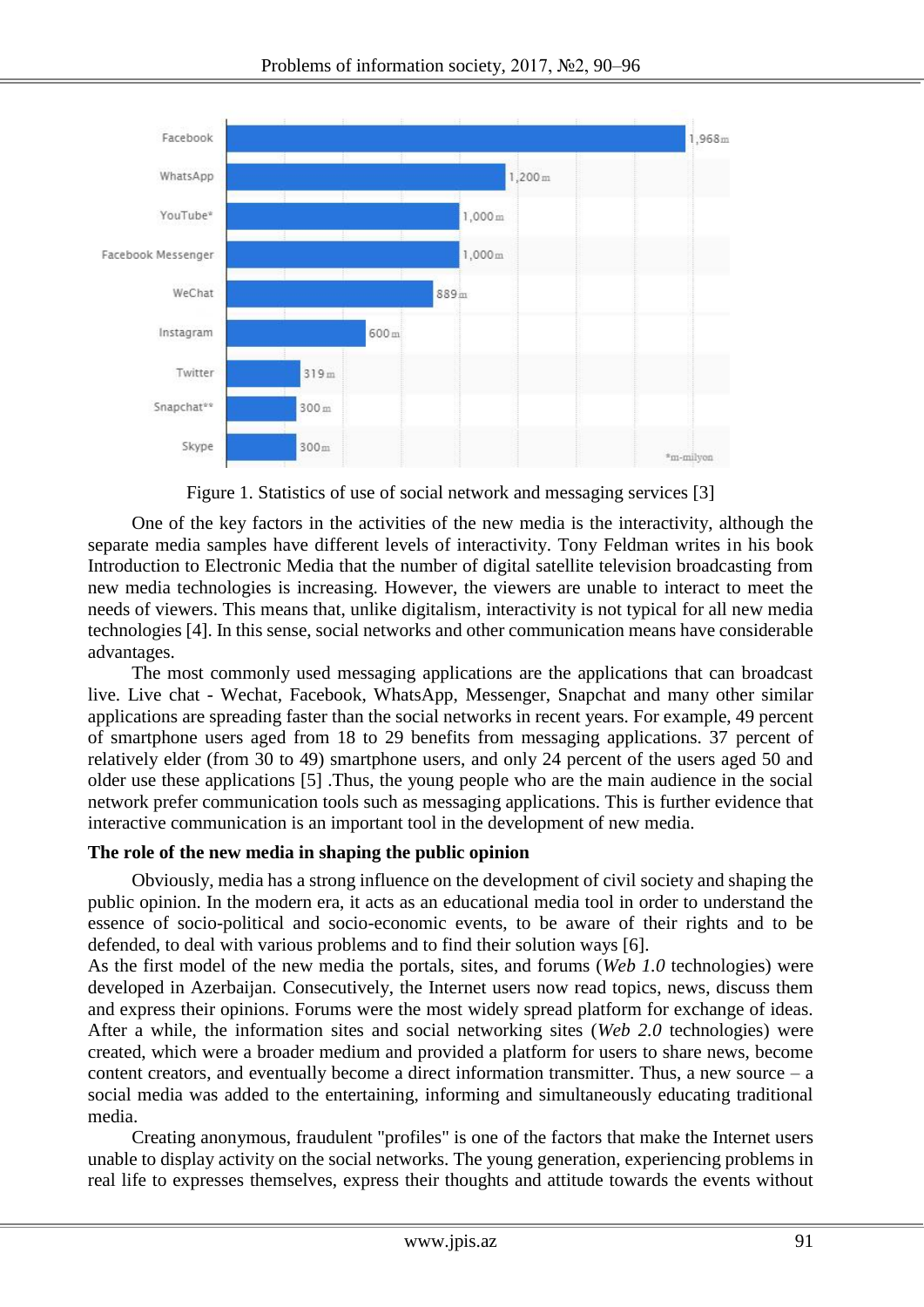

Figure 1. Statistics of use of social network and messaging services [3]

One of the key factors in the activities of the new media is the interactivity, although the separate media samples have different levels of interactivity. Tony Feldman writes in his book Introduction to Electronic Media that the number of digital satellite television broadcasting from new media technologies is increasing. However, the viewers are unable to interact to meet the needs of viewers. This means that, unlike digitalism, interactivity is not typical for all new media technologies [4]. In this sense, social networks and other communication means have considerable advantages.

The most commonly used messaging applications are the applications that can broadcast live. Live chat - Wechat, Facebook, WhatsApp, Messenger, Snapchat and many other similar applications are spreading faster than the social networks in recent years. For example, 49 percent of smartphone users aged from 18 to 29 benefits from messaging applications. 37 percent of relatively elder (from 30 to 49) smartphone users, and only 24 percent of the users aged 50 and older use these applications [5] .Thus, the young people who are the main audience in the social network prefer communication tools such as messaging applications. This is further evidence that interactive communication is an important tool in the development of new media.

# **The role of the new media in shaping the public opinion**

Obviously, media has a strong influence on the development of civil society and shaping the public opinion. In the modern era, it acts as an educational media tool in order to understand the essence of socio-political and socio-economic events, to be aware of their rights and to be defended, to deal with various problems and to find their solution ways [6].

As the first model of the new media the portals, sites, and forums (*Web 1.0* technologies) were developed in Azerbaijan. Consecutively, the Internet users now read topics, news, discuss them and express their opinions. Forums were the most widely spread platform for exchange of ideas. After a while, the information sites and social networking sites (*Web 2.0* technologies) were created, which were a broader medium and provided a platform for users to share news, become content creators, and eventually become a direct information transmitter. Thus, a new source – a social media was added to the entertaining, informing and simultaneously educating traditional media.

Creating anonymous, fraudulent "profiles" is one of the factors that make the Internet users unable to display activity on the social networks. The young generation, experiencing problems in real life to expresses themselves, express their thoughts and attitude towards the events without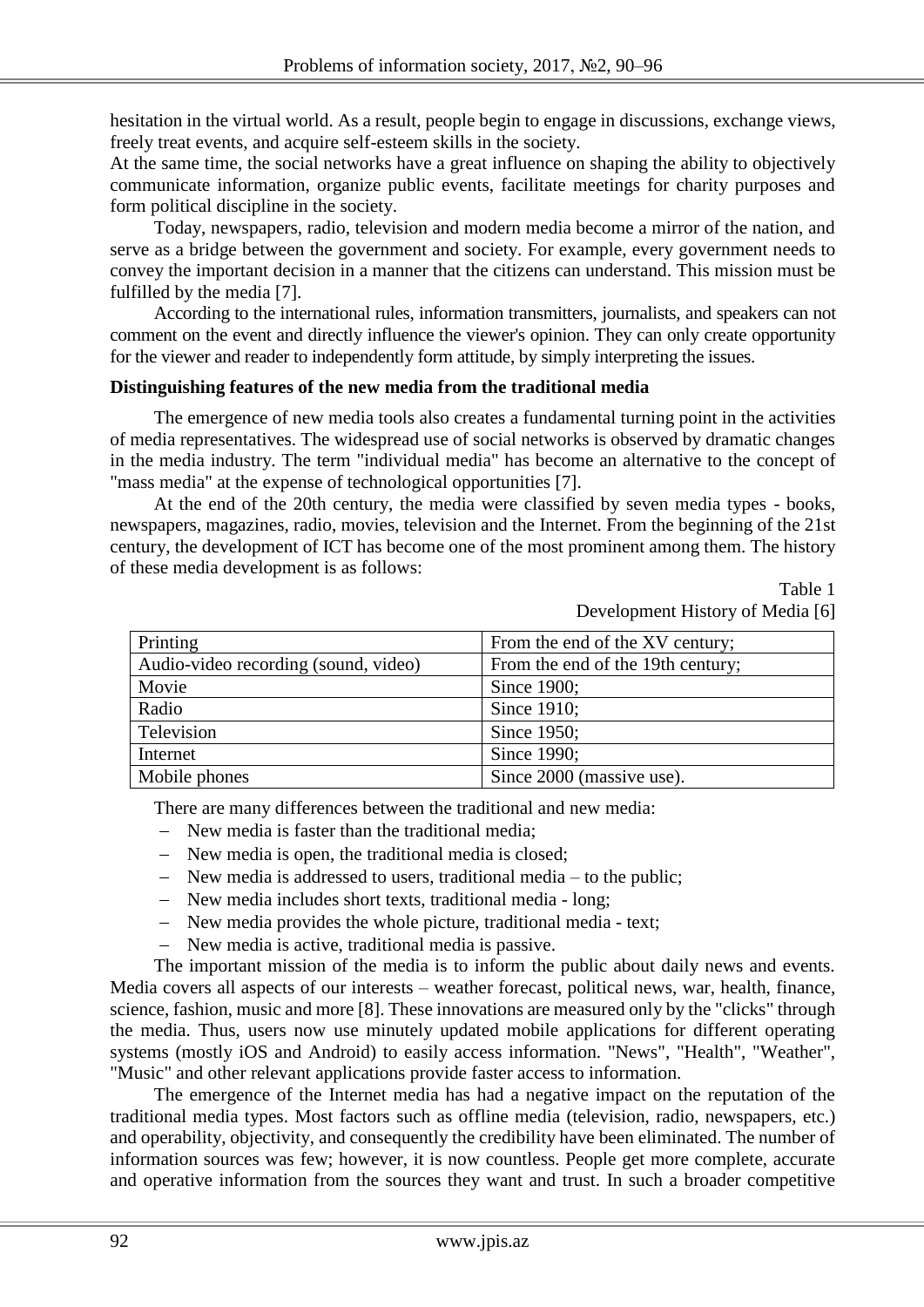hesitation in the virtual world. As a result, people begin to engage in discussions, exchange views, freely treat events, and acquire self-esteem skills in the society.

At the same time, the social networks have a great influence on shaping the ability to objectively communicate information, organize public events, facilitate meetings for charity purposes and form political discipline in the society.

Today, newspapers, radio, television and modern media become a mirror of the nation, and serve as a bridge between the government and society. For example, every government needs to convey the important decision in a manner that the citizens can understand. This mission must be fulfilled by the media [7].

According to the international rules, information transmitters, journalists, and speakers can not comment on the event and directly influence the viewer's opinion. They can only create opportunity for the viewer and reader to independently form attitude, by simply interpreting the issues.

### **Distinguishing features of the new media from the traditional media**

The emergence of new media tools also creates a fundamental turning point in the activities of media representatives. The widespread use of social networks is observed by dramatic changes in the media industry. The term "individual media" has become an alternative to the concept of "mass media" at the expense of technological opportunities [7].

At the end of the 20th century, the media were classified by seven media types - books, newspapers, magazines, radio, movies, television and the Internet. From the beginning of the 21st century, the development of ICT has become one of the most prominent among them. The history of these media development is as follows:

> Table 1 Development History of Media [6]

| Printing                             | From the end of the XV century;   |  |
|--------------------------------------|-----------------------------------|--|
| Audio-video recording (sound, video) | From the end of the 19th century; |  |
| Movie                                | Since 1900;                       |  |
| Radio                                | Since 1910;                       |  |
| Television                           | Since 1950;                       |  |
| Internet                             | Since 1990;                       |  |
| Mobile phones                        | Since 2000 (massive use).         |  |

There are many differences between the traditional and new media:

- New media is faster than the traditional media;
- New media is open, the traditional media is closed;
- New media is addressed to users, traditional media to the public;
- New media includes short texts, traditional media long;
- New media provides the whole picture, traditional media text;
- New media is active, traditional media is passive.

The important mission of the media is to inform the public about daily news and events. Media covers all aspects of our interests – weather forecast, political news, war, health, finance, science, fashion, music and more [8]. These innovations are measured only by the "clicks" through the media. Thus, users now use minutely updated mobile applications for different operating systems (mostly iOS and Android) to easily access information. "News", "Health", "Weather", "Music" and other relevant applications provide faster access to information.

The emergence of the Internet media has had a negative impact on the reputation of the traditional media types. Most factors such as offline media (television, radio, newspapers, etc.) and operability, objectivity, and consequently the credibility have been eliminated. The number of information sources was few; however, it is now countless. People get more complete, accurate and operative information from the sources they want and trust. In such a broader competitive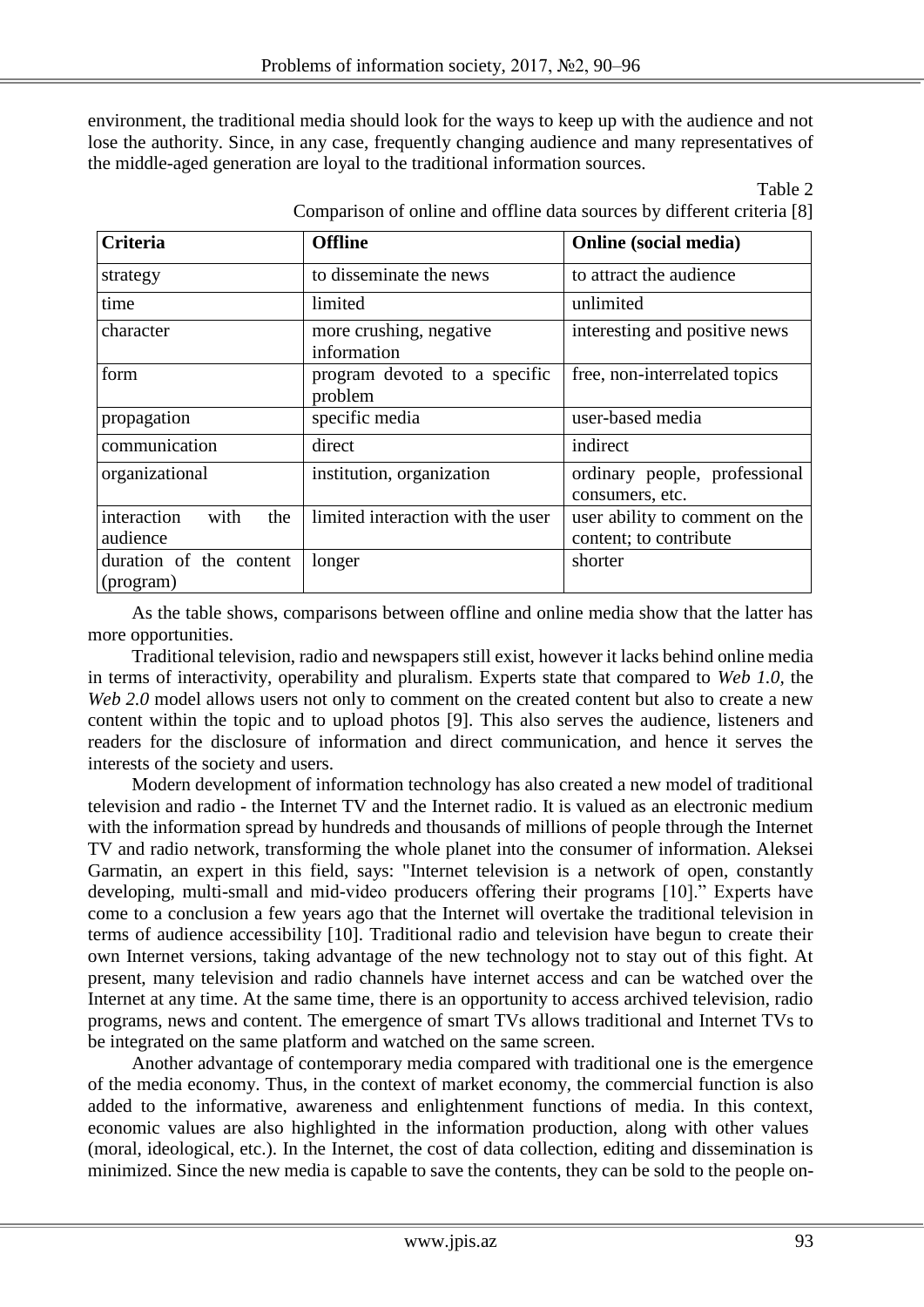environment, the traditional media should look for the ways to keep up with the audience and not lose the authority. Since, in any case, frequently changing audience and many representatives of the middle-aged generation are loyal to the traditional information sources.

### Table 2

| <b>Criteria</b>                        | <b>Offline</b>                           | <b>Online</b> (social media)                             |
|----------------------------------------|------------------------------------------|----------------------------------------------------------|
| strategy                               | to disseminate the news                  | to attract the audience                                  |
| time                                   | limited                                  | unlimited                                                |
| character                              | more crushing, negative<br>information   | interesting and positive news                            |
| form                                   | program devoted to a specific<br>problem | free, non-interrelated topics                            |
| propagation                            | specific media                           | user-based media                                         |
| communication                          | direct                                   | indirect                                                 |
| organizational                         | institution, organization                | ordinary people, professional<br>consumers, etc.         |
| interaction<br>with<br>the<br>audience | limited interaction with the user        | user ability to comment on the<br>content; to contribute |
| duration of the content<br>(program)   | longer                                   | shorter                                                  |

Comparison of online and offline data sources by different criteria [8]

As the table shows, comparisons between offline and online media show that the latter has more opportunities.

Traditional television, radio and newspapers still exist, however it lacks behind online media in terms of interactivity, operability and pluralism. Experts state that compared to *Web 1.0,* the *Web 2.0* model allows users not only to comment on the created content but also to create a new content within the topic and to upload photos [9]. This also serves the audience, listeners and readers for the disclosure of information and direct communication, and hence it serves the interests of the society and users.

Modern development of information technology has also created a new model of traditional television and radio - the Internet TV and the Internet radio. It is valued as an electronic medium with the information spread by hundreds and thousands of millions of people through the Internet TV and radio network, transforming the whole planet into the consumer of information. Aleksei Garmatin, an expert in this field, says: "Internet television is a network of open, constantly developing, multi-small and mid-video producers offering their programs [10]." Experts have come to a conclusion a few years ago that the Internet will overtake the traditional television in terms of audience accessibility [10]. Traditional radio and television have begun to create their own Internet versions, taking advantage of the new technology not to stay out of this fight. At present, many television and radio channels have internet access and can be watched over the Internet at any time. At the same time, there is an opportunity to access archived television, radio programs, news and content. The emergence of smart TVs allows traditional and Internet TVs to be integrated on the same platform and watched on the same screen.

Another advantage of contemporary media compared with traditional one is the emergence of the media economy. Thus, in the context of market economy, the commercial function is also added to the informative, awareness and enlightenment functions of media. In this context, economic values are also highlighted in the information production, along with other values (moral, ideological, etc.). In the Internet, the cost of data collection, editing and dissemination is minimized. Since the new media is capable to save the contents, they can be sold to the people on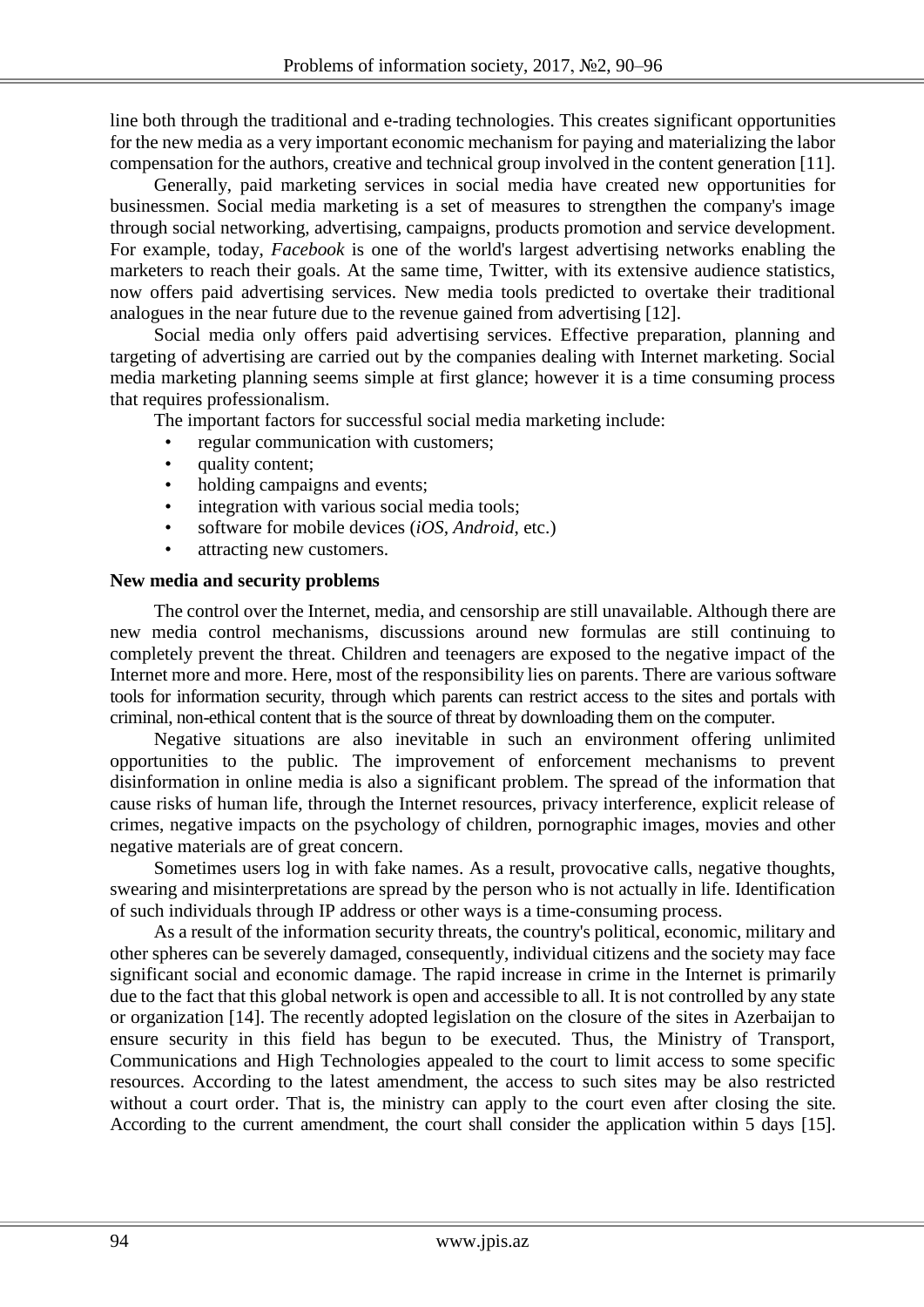line both through the traditional and e-trading technologies. This creates significant opportunities for the new media as a very important economic mechanism for paying and materializing the labor compensation for the authors, creative and technical group involved in the content generation [11].

Generally, paid marketing services in social media have created new opportunities for businessmen. Social media marketing is a set of measures to strengthen the company's image through social networking, advertising, campaigns, products promotion and service development. For example, today, *Facebook* is one of the world's largest advertising networks enabling the marketers to reach their goals. At the same time, Twitter, with its extensive audience statistics, now offers paid advertising services. New media tools predicted to overtake their traditional analogues in the near future due to the revenue gained from advertising [12].

Social media only offers paid advertising services. Effective preparation, planning and targeting of advertising are carried out by the companies dealing with Internet marketing. Social media marketing planning seems simple at first glance; however it is a time consuming process that requires professionalism.

The important factors for successful social media marketing include:

- regular communication with customers;
- quality content;
- holding campaigns and events;
- integration with various social media tools;
- software for mobile devices (*iOS, Android*, etc.)
- attracting new customers.

## **New media and security problems**

The control over the Internet, media, and censorship are still unavailable. Although there are new media control mechanisms, discussions around new formulas are still continuing to completely prevent the threat. Children and teenagers are exposed to the negative impact of the Internet more and more. Here, most of the responsibility lies on parents. There are various software tools for information security, through which parents can restrict access to the sites and portals with criminal, non-ethical content that is the source of threat by downloading them on the computer.

Negative situations are also inevitable in such an environment offering unlimited opportunities to the public. The improvement of enforcement mechanisms to prevent disinformation in online media is also a significant problem. The spread of the information that cause risks of human life, through the Internet resources, privacy interference, explicit release of crimes, negative impacts on the psychology of children, pornographic images, movies and other negative materials are of great concern.

Sometimes users log in with fake names. As a result, provocative calls, negative thoughts, swearing and misinterpretations are spread by the person who is not actually in life. Identification of such individuals through IP address or other ways is a time-consuming process.

As a result of the information security threats, the country's political, economic, military and other spheres can be severely damaged, consequently, individual citizens and the society may face significant social and economic damage. The rapid increase in crime in the Internet is primarily due to the fact that this global network is open and accessible to all. It is not controlled by any state or organization [14]. The recently adopted legislation on the closure of the sites in Azerbaijan to ensure security in this field has begun to be executed. Thus, the Ministry of Transport, Communications and High Technologies appealed to the court to limit access to some specific resources. According to the latest amendment, the access to such sites may be also restricted without a court order. That is, the ministry can apply to the court even after closing the site. According to the current amendment, the court shall consider the application within 5 days [15].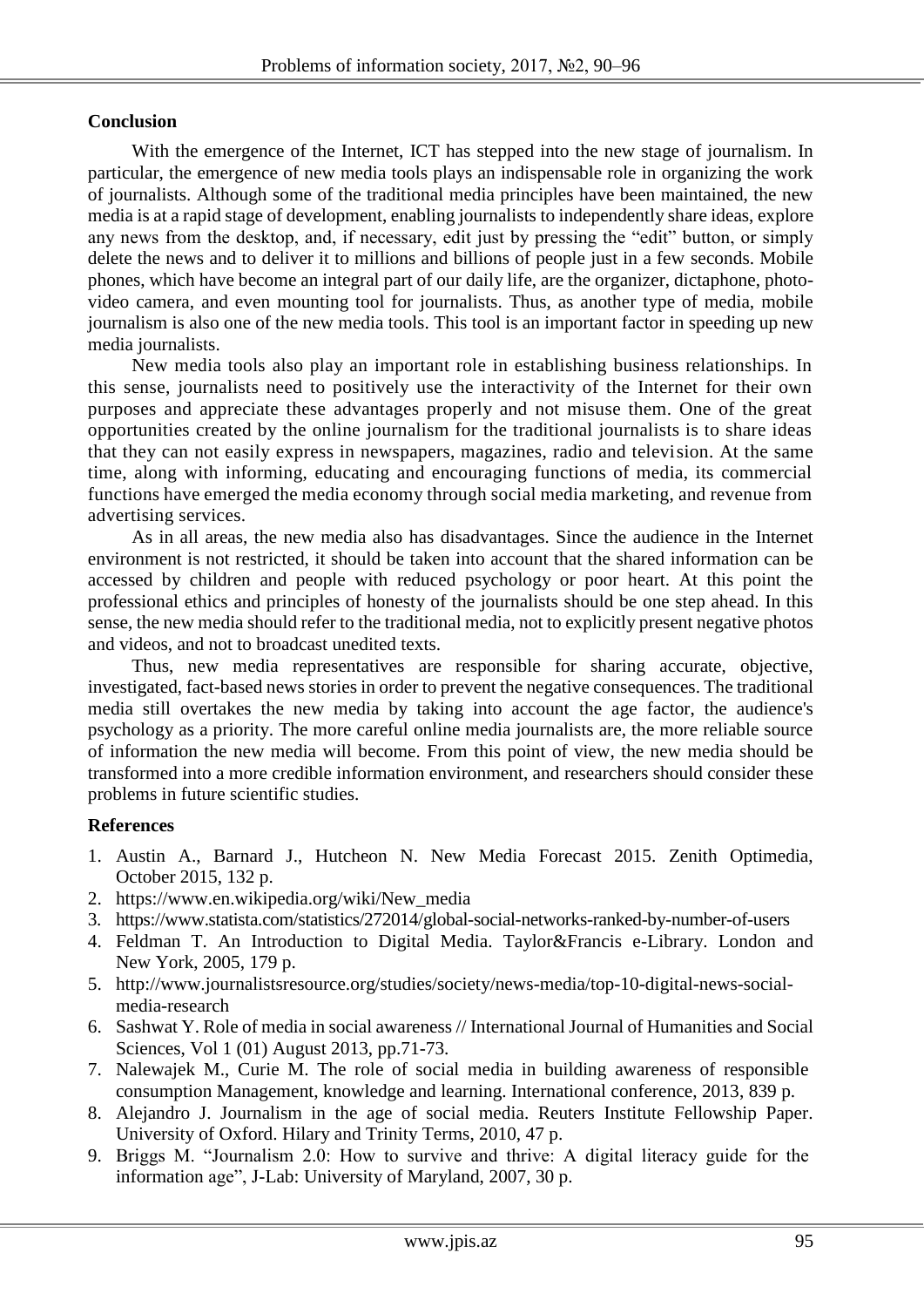## **Conclusion**

With the emergence of the Internet, ICT has stepped into the new stage of journalism. In particular, the emergence of new media tools plays an indispensable role in organizing the work of journalists. Although some of the traditional media principles have been maintained, the new media is at a rapid stage of development, enabling journalists to independently share ideas, explore any news from the desktop, and, if necessary, edit just by pressing the "edit" button, or simply delete the news and to deliver it to millions and billions of people just in a few seconds. Mobile phones, which have become an integral part of our daily life, are the organizer, dictaphone, photovideo camera, and even mounting tool for journalists. Thus, as another type of media, mobile journalism is also one of the new media tools. This tool is an important factor in speeding up new media journalists.

New media tools also play an important role in establishing business relationships. In this sense, journalists need to positively use the interactivity of the Internet for their own purposes and appreciate these advantages properly and not misuse them. One of the great opportunities created by the online journalism for the traditional journalists is to share ideas that they can not easily express in newspapers, magazines, radio and television. At the same time, along with informing, educating and encouraging functions of media, its commercial functions have emerged the media economy through social media marketing, and revenue from advertising services.

As in all areas, the new media also has disadvantages. Since the audience in the Internet environment is not restricted, it should be taken into account that the shared information can be accessed by children and people with reduced psychology or poor heart. At this point the professional ethics and principles of honesty of the journalists should be one step ahead. In this sense, the new media should refer to the traditional media, not to explicitly present negative photos and videos, and not to broadcast unedited texts.

Thus, new media representatives are responsible for sharing accurate, objective, investigated, fact-based news stories in order to prevent the negative consequences. The traditional media still overtakes the new media by taking into account the age factor, the audience's psychology as a priority. The more careful online media journalists are, the more reliable source of information the new media will become. From this point of view, the new media should be transformed into a more credible information environment, and researchers should consider these problems in future scientific studies.

## **References**

- 1. Austin A., Barnard J., Hutcheon N. New Media Forecast 2015. Zenith Optimedia, October 2015, 132 p.
- 2. [https://www.en.wikipedia.org/wiki/New\\_media](https://www.en.wikipedia.org/wiki/New_media)
- 3. https://www.statista.com/statistics/272014/global-social-networks-ranked-by-number-of-users
- 4. Feldman T. An Introduction to Digital Media. Taylor&Francis e-Library. London and New York, 2005, 179 p.
- 5. [http://www.journalistsresource.org/studies/society/news-media/top-10-digital-news-social](http://www.journalistsresource.org/studies/society/news-media/top-10-digital-news-social-media-research)[media-research](http://www.journalistsresource.org/studies/society/news-media/top-10-digital-news-social-media-research)
- 6. Sashwat Y. Role of media in social awareness // International Journal of Humanities and Social Sciences, Vol 1 (01) August 2013, pp.71-73.
- 7. Nalewajek M., Curie M. The role of social media in building awareness of responsible consumption Management, knowledge and learning. International conference, 2013, 839 p.
- 8. Alejandro J. Journalism in the age of social media. Reuters Institute Fellowship Paper. University of Oxford. Hilary and Trinity Terms, 2010, 47 p.
- 9. Briggs M. "Journalism 2.0: How to survive and thrive: A digital literacy guide for the information age", J-Lab: University of Maryland, 2007, 30 p.